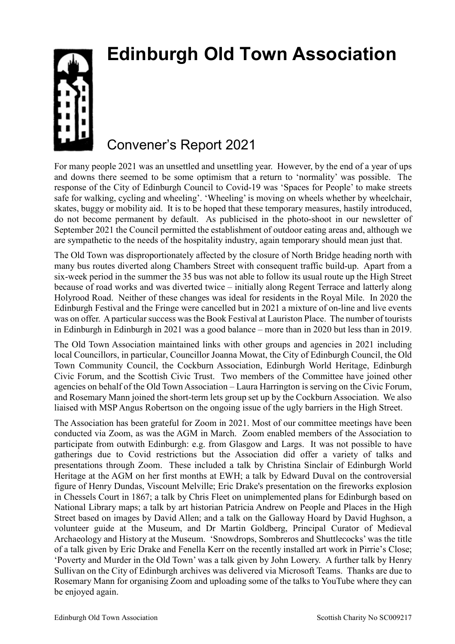## **Edinburgh Old Town Association**



## Convener's Report 2021

For many people 2021 was an unsettled and unsettling year. However, by the end of a year of ups and downs there seemed to be some optimism that a return to 'normality' was possible. The response of the City of Edinburgh Council to Covid-19 was 'Spaces for People' to make streets safe for walking, cycling and wheeling'. 'Wheeling' is moving on wheels whether by wheelchair, skates, buggy or mobility aid. It is to be hoped that these temporary measures, hastily introduced, do not become permanent by default. As publicised in the photo-shoot in our newsletter of September 2021 the Council permitted the establishment of outdoor eating areas and, although we are sympathetic to the needs of the hospitality industry, again temporary should mean just that.

The Old Town was disproportionately affected by the closure of North Bridge heading north with many bus routes diverted along Chambers Street with consequent traffic build-up. Apart from a six-week period in the summer the 35 bus was not able to follow its usual route up the High Street because of road works and was diverted twice – initially along Regent Terrace and latterly along Holyrood Road. Neither of these changes was ideal for residents in the Royal Mile. In 2020 the Edinburgh Festival and the Fringe were cancelled but in 2021 a mixture of on-line and live events was on offer. A particular success was the Book Festival at Lauriston Place. The number of tourists in Edinburgh in Edinburgh in 2021 was a good balance – more than in 2020 but less than in 2019.

The Old Town Association maintained links with other groups and agencies in 2021 including local Councillors, in particular, Councillor Joanna Mowat, the City of Edinburgh Council, the Old Town Community Council, the Cockburn Association, Edinburgh World Heritage, Edinburgh Civic Forum, and the Scottish Civic Trust. Two members of the Committee have joined other agencies on behalf of the Old Town Association – Laura Harrington is serving on the Civic Forum, and Rosemary Mann joined the short-term lets group set up by the Cockburn Association. We also liaised with MSP Angus Robertson on the ongoing issue of the ugly barriers in the High Street.

The Association has been grateful for Zoom in 2021. Most of our committee meetings have been conducted via Zoom, as was the AGM in March. Zoom enabled members of the Association to participate from outwith Edinburgh: e.g. from Glasgow and Largs. It was not possible to have gatherings due to Covid restrictions but the Association did offer a variety of talks and presentations through Zoom. These included a talk by Christina Sinclair of Edinburgh World Heritage at the AGM on her first months at EWH; a talk by Edward Duval on the controversial figure of Henry Dundas, Viscount Melville; Eric Drake's presentation on the fireworks explosion in Chessels Court in 1867; a talk by Chris Fleet on unimplemented plans for Edinburgh based on National Library maps; a talk by art historian Patricia Andrew on People and Places in the High Street based on images by David Allen; and a talk on the Galloway Hoard by David Hughson, a volunteer guide at the Museum, and Dr Martin Goldberg, Principal Curator of Medieval Archaeology and History at the Museum. 'Snowdrops, Sombreros and Shuttlecocks' was the title of a talk given by Eric Drake and Fenella Kerr on the recently installed art work in Pirrie's Close; 'Poverty and Murder in the Old Town' was a talk given by John Lowery. A further talk by Henry Sullivan on the City of Edinburgh archives was delivered via Microsoft Teams. Thanks are due to Rosemary Mann for organising Zoom and uploading some of the talks to YouTube where they can be enjoyed again.